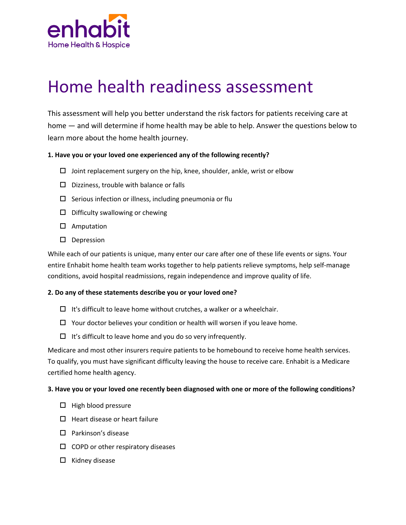

# Home health readiness assessment

This assessment will help you better understand the risk factors for patients receiving care at home — and will determine if home health may be able to help. Answer the questions below to learn more about the home health journey.

#### **1. Have you or your loved one experienced any of the following recently?**

- $\Box$  Joint replacement surgery on the hip, knee, shoulder, ankle, wrist or elbow
- $\square$  Dizziness, trouble with balance or falls
- $\square$  Serious infection or illness, including pneumonia or flu
- $\square$  Difficulty swallowing or chewing
- $\square$  Amputation
- $\square$  Depression

While each of our patients is unique, many enter our care after one of these life events or signs. Your entire Enhabit home health team works together to help patients relieve symptoms, help self-manage conditions, avoid hospital readmissions, regain independence and improve quality of life.

#### **2. Do any of these statements describe you or your loved one?**

- $\Box$  It's difficult to leave home without crutches, a walker or a wheelchair.
- $\Box$  Your doctor believes your condition or health will worsen if you leave home.
- $\Box$  It's difficult to leave home and you do so very infrequently.

Medicare and most other insurers require patients to be homebound to receive home health services. To qualify, you must have significant difficulty leaving the house to receive care. Enhabit is a Medicare certified home health agency.

#### **3. Have you or your loved one recently been diagnosed with one or more of the following conditions?**

- $\Box$  High blood pressure
- $\Box$  Heart disease or heart failure
- $\Box$  Parkinson's disease
- $\Box$  COPD or other respiratory diseases
- $\Box$  Kidney disease